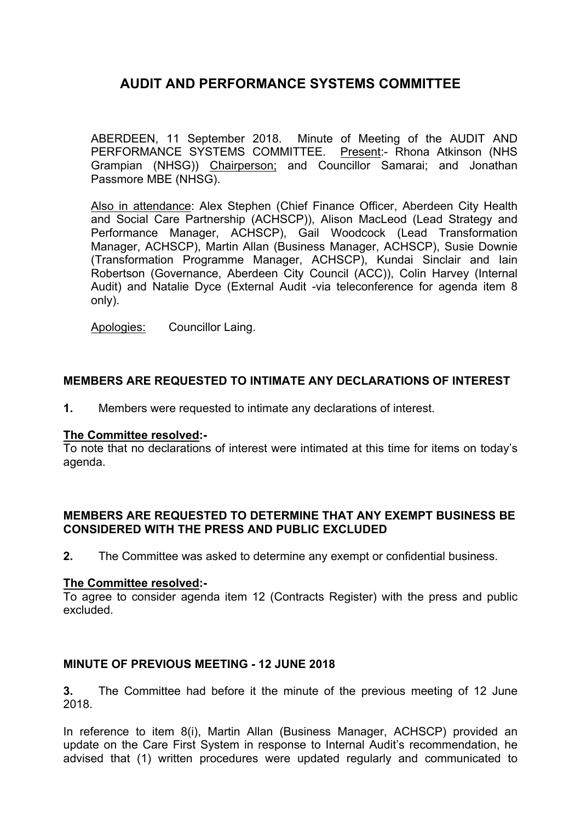ABERDEEN, 11 September 2018. Minute of Meeting of the AUDIT AND PERFORMANCE SYSTEMS COMMITTEE. Present:- Rhona Atkinson (NHS Grampian (NHSG)) Chairperson; and Councillor Samarai; and Jonathan Passmore MBE (NHSG).

Also in attendance: Alex Stephen (Chief Finance Officer, Aberdeen City Health and Social Care Partnership (ACHSCP)), Alison MacLeod (Lead Strategy and Performance Manager, ACHSCP), Gail Woodcock (Lead Transformation Manager, ACHSCP), Martin Allan (Business Manager, ACHSCP), Susie Downie (Transformation Programme Manager, ACHSCP), Kundai Sinclair and Iain Robertson (Governance, Aberdeen City Council (ACC)), Colin Harvey (Internal Audit) and Natalie Dyce (External Audit -via teleconference for agenda item 8 only).

Apologies: Councillor Laing.

## **MEMBERS ARE REQUESTED TO INTIMATE ANY DECLARATIONS OF INTEREST**

**1.** Members were requested to intimate any declarations of interest.

#### **The Committee resolved:-**

To note that no declarations of interest were intimated at this time for items on today's agenda.

### **MEMBERS ARE REQUESTED TO DETERMINE THAT ANY EXEMPT BUSINESS BE CONSIDERED WITH THE PRESS AND PUBLIC EXCLUDED**

**2.** The Committee was asked to determine any exempt or confidential business.

#### **The Committee resolved:-**

To agree to consider agenda item 12 (Contracts Register) with the press and public excluded.

### **MINUTE OF PREVIOUS MEETING - 12 JUNE 2018**

**3.** The Committee had before it the minute of the previous meeting of 12 June 2018.

In reference to item 8(i), Martin Allan (Business Manager, ACHSCP) provided an update on the Care First System in response to Internal Audit's recommendation, he advised that (1) written procedures were updated regularly and communicated to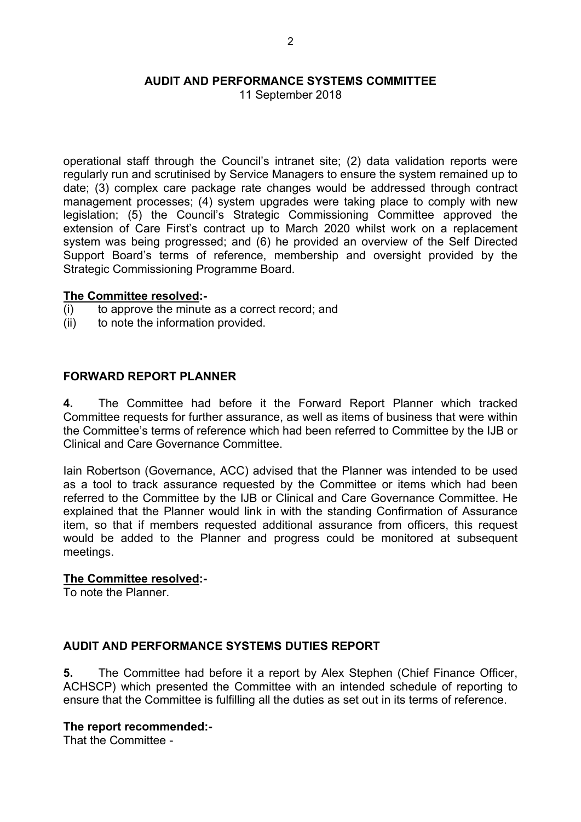11 September 2018

operational staff through the Council's intranet site; (2) data validation reports were regularly run and scrutinised by Service Managers to ensure the system remained up to date; (3) complex care package rate changes would be addressed through contract management processes; (4) system upgrades were taking place to comply with new legislation; (5) the Council's Strategic Commissioning Committee approved the extension of Care First's contract up to March 2020 whilst work on a replacement system was being progressed; and (6) he provided an overview of the Self Directed Support Board's terms of reference, membership and oversight provided by the Strategic Commissioning Programme Board.

#### **The Committee resolved:-**

- (i) to approve the minute as a correct record; and
- (ii) to note the information provided.

## **FORWARD REPORT PLANNER**

**4.** The Committee had before it the Forward Report Planner which tracked Committee requests for further assurance, as well as items of business that were within the Committee's terms of reference which had been referred to Committee by the IJB or Clinical and Care Governance Committee.

Iain Robertson (Governance, ACC) advised that the Planner was intended to be used as a tool to track assurance requested by the Committee or items which had been referred to the Committee by the IJB or Clinical and Care Governance Committee. He explained that the Planner would link in with the standing Confirmation of Assurance item, so that if members requested additional assurance from officers, this request would be added to the Planner and progress could be monitored at subsequent meetings.

### **The Committee resolved:-**

To note the Planner.

### **AUDIT AND PERFORMANCE SYSTEMS DUTIES REPORT**

**5.** The Committee had before it a report by Alex Stephen (Chief Finance Officer, ACHSCP) which presented the Committee with an intended schedule of reporting to ensure that the Committee is fulfilling all the duties as set out in its terms of reference.

#### **The report recommended:-**

That the Committee -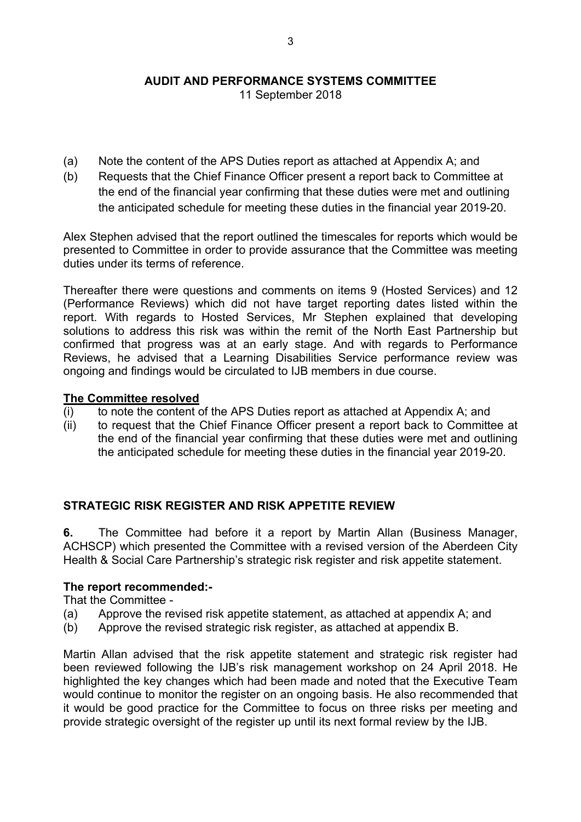11 September 2018

- (a) Note the content of the APS Duties report as attached at Appendix A; and
- (b) Requests that the Chief Finance Officer present a report back to Committee at the end of the financial year confirming that these duties were met and outlining the anticipated schedule for meeting these duties in the financial year 2019-20.

Alex Stephen advised that the report outlined the timescales for reports which would be presented to Committee in order to provide assurance that the Committee was meeting duties under its terms of reference.

Thereafter there were questions and comments on items 9 (Hosted Services) and 12 (Performance Reviews) which did not have target reporting dates listed within the report. With regards to Hosted Services, Mr Stephen explained that developing solutions to address this risk was within the remit of the North East Partnership but confirmed that progress was at an early stage. And with regards to Performance Reviews, he advised that a Learning Disabilities Service performance review was ongoing and findings would be circulated to IJB members in due course.

#### **The Committee resolved**

- (i) to note the content of the APS Duties report as attached at Appendix A; and
- (ii) to request that the Chief Finance Officer present a report back to Committee at the end of the financial year confirming that these duties were met and outlining the anticipated schedule for meeting these duties in the financial year 2019-20.

### **STRATEGIC RISK REGISTER AND RISK APPETITE REVIEW**

**6.** The Committee had before it a report by Martin Allan (Business Manager, ACHSCP) which presented the Committee with a revised version of the Aberdeen City Health & Social Care Partnership's strategic risk register and risk appetite statement.

### **The report recommended:-**

That the Committee -

- (a) Approve the revised risk appetite statement, as attached at appendix A; and
- (b) Approve the revised strategic risk register, as attached at appendix B.

Martin Allan advised that the risk appetite statement and strategic risk register had been reviewed following the IJB's risk management workshop on 24 April 2018. He highlighted the key changes which had been made and noted that the Executive Team would continue to monitor the register on an ongoing basis. He also recommended that it would be good practice for the Committee to focus on three risks per meeting and provide strategic oversight of the register up until its next formal review by the IJB.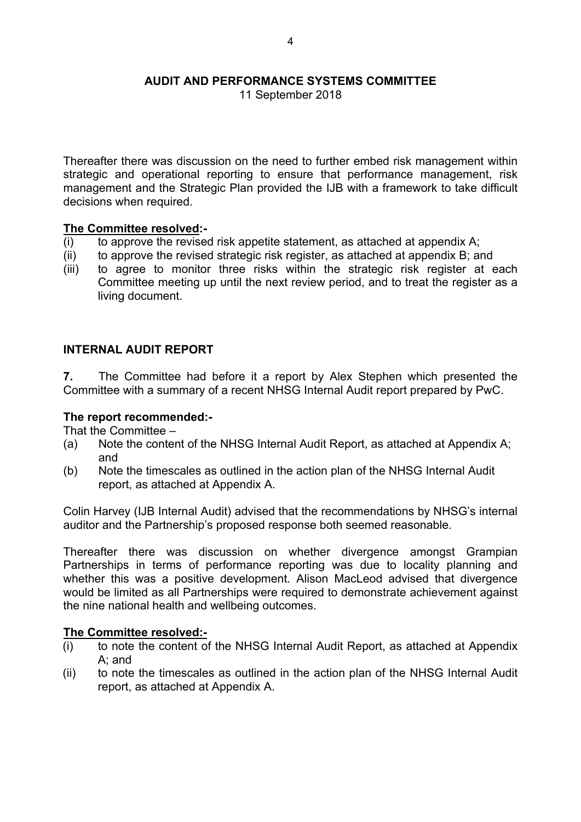Thereafter there was discussion on the need to further embed risk management within strategic and operational reporting to ensure that performance management, risk management and the Strategic Plan provided the IJB with a framework to take difficult decisions when required.

### **The Committee resolved:-**

- $(i)$  to approve the revised risk appetite statement, as attached at appendix A;
- (ii) to approve the revised strategic risk register, as attached at appendix B; and
- (iii) to agree to monitor three risks within the strategic risk register at each Committee meeting up until the next review period, and to treat the register as a living document.

### **INTERNAL AUDIT REPORT**

**7.** The Committee had before it a report by Alex Stephen which presented the Committee with a summary of a recent NHSG Internal Audit report prepared by PwC.

#### **The report recommended:-**

That the Committee –

- (a) Note the content of the NHSG Internal Audit Report, as attached at Appendix A; and
- (b) Note the timescales as outlined in the action plan of the NHSG Internal Audit report, as attached at Appendix A.

Colin Harvey (IJB Internal Audit) advised that the recommendations by NHSG's internal auditor and the Partnership's proposed response both seemed reasonable.

Thereafter there was discussion on whether divergence amongst Grampian Partnerships in terms of performance reporting was due to locality planning and whether this was a positive development. Alison MacLeod advised that divergence would be limited as all Partnerships were required to demonstrate achievement against the nine national health and wellbeing outcomes.

#### **The Committee resolved:-**

- (i) to note the content of the NHSG Internal Audit Report, as attached at Appendix A; and
- (ii) to note the timescales as outlined in the action plan of the NHSG Internal Audit report, as attached at Appendix A.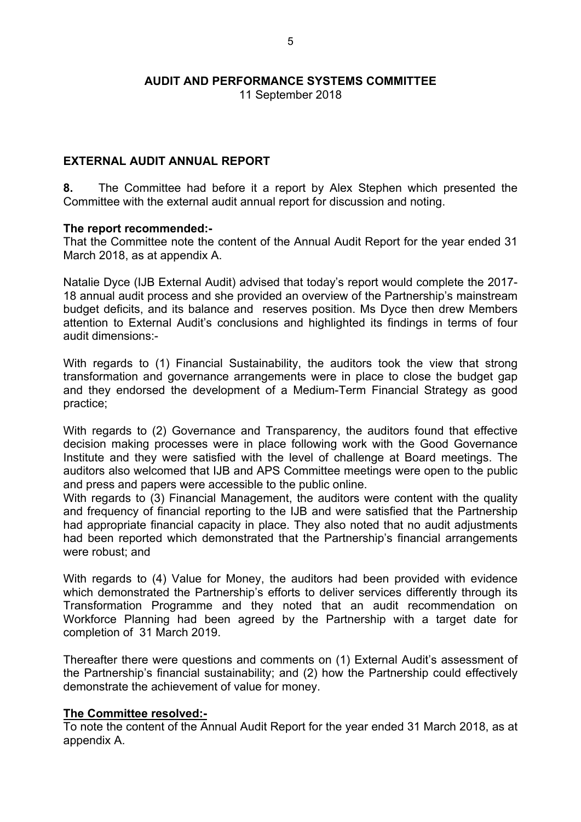# **EXTERNAL AUDIT ANNUAL REPORT**

**8.** The Committee had before it a report by Alex Stephen which presented the Committee with the external audit annual report for discussion and noting.

#### **The report recommended:-**

That the Committee note the content of the Annual Audit Report for the year ended 31 March 2018, as at appendix A.

Natalie Dyce (IJB External Audit) advised that today's report would complete the 2017- 18 annual audit process and she provided an overview of the Partnership's mainstream budget deficits, and its balance and reserves position. Ms Dyce then drew Members attention to External Audit's conclusions and highlighted its findings in terms of four audit dimensions:-

With regards to (1) Financial Sustainability, the auditors took the view that strong transformation and governance arrangements were in place to close the budget gap and they endorsed the development of a Medium-Term Financial Strategy as good practice;

With regards to (2) Governance and Transparency, the auditors found that effective decision making processes were in place following work with the Good Governance Institute and they were satisfied with the level of challenge at Board meetings. The auditors also welcomed that IJB and APS Committee meetings were open to the public and press and papers were accessible to the public online.

With regards to (3) Financial Management, the auditors were content with the quality and frequency of financial reporting to the IJB and were satisfied that the Partnership had appropriate financial capacity in place. They also noted that no audit adjustments had been reported which demonstrated that the Partnership's financial arrangements were robust; and

With regards to (4) Value for Money, the auditors had been provided with evidence which demonstrated the Partnership's efforts to deliver services differently through its Transformation Programme and they noted that an audit recommendation on Workforce Planning had been agreed by the Partnership with a target date for completion of 31 March 2019.

Thereafter there were questions and comments on (1) External Audit's assessment of the Partnership's financial sustainability; and (2) how the Partnership could effectively demonstrate the achievement of value for money.

### **The Committee resolved:-**

To note the content of the Annual Audit Report for the year ended 31 March 2018, as at appendix A.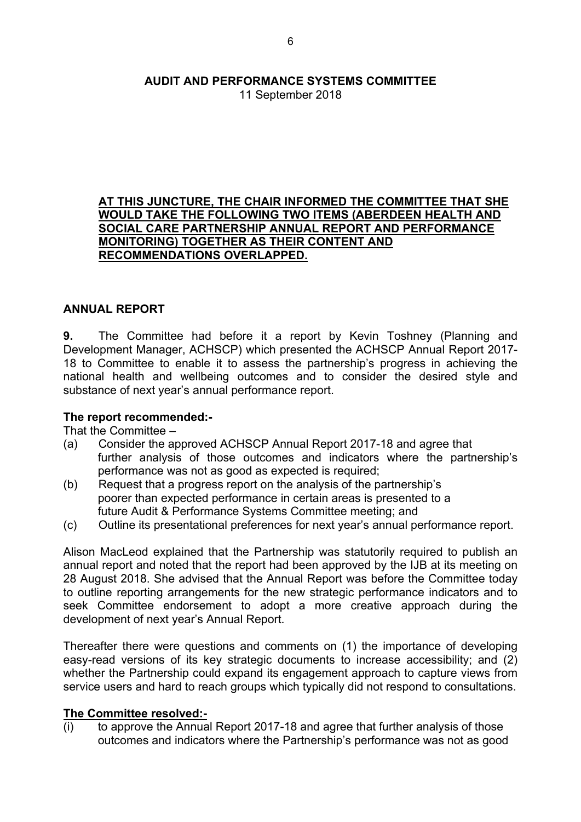11 September 2018

#### **AT THIS JUNCTURE, THE CHAIR INFORMED THE COMMITTEE THAT SHE WOULD TAKE THE FOLLOWING TWO ITEMS (ABERDEEN HEALTH AND SOCIAL CARE PARTNERSHIP ANNUAL REPORT AND PERFORMANCE MONITORING) TOGETHER AS THEIR CONTENT AND RECOMMENDATIONS OVERLAPPED.**

## **ANNUAL REPORT**

**9.** The Committee had before it a report by Kevin Toshney (Planning and Development Manager, ACHSCP) which presented the ACHSCP Annual Report 2017- 18 to Committee to enable it to assess the partnership's progress in achieving the national health and wellbeing outcomes and to consider the desired style and substance of next year's annual performance report.

#### **The report recommended:-**

That the Committee –

- (a) Consider the approved ACHSCP Annual Report 2017-18 and agree that further analysis of those outcomes and indicators where the partnership's performance was not as good as expected is required;
- (b) Request that a progress report on the analysis of the partnership's poorer than expected performance in certain areas is presented to a future Audit & Performance Systems Committee meeting; and
- (c) Outline its presentational preferences for next year's annual performance report.

Alison MacLeod explained that the Partnership was statutorily required to publish an annual report and noted that the report had been approved by the IJB at its meeting on 28 August 2018. She advised that the Annual Report was before the Committee today to outline reporting arrangements for the new strategic performance indicators and to seek Committee endorsement to adopt a more creative approach during the development of next year's Annual Report.

Thereafter there were questions and comments on (1) the importance of developing easy-read versions of its key strategic documents to increase accessibility; and (2) whether the Partnership could expand its engagement approach to capture views from service users and hard to reach groups which typically did not respond to consultations.

### **The Committee resolved:-**

(i) to approve the Annual Report 2017-18 and agree that further analysis of those outcomes and indicators where the Partnership's performance was not as good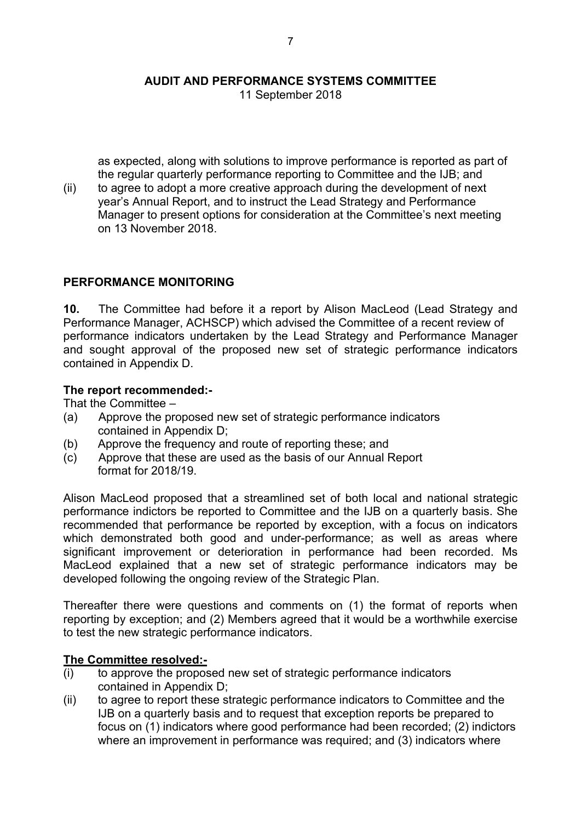as expected, along with solutions to improve performance is reported as part of the regular quarterly performance reporting to Committee and the IJB; and

(ii) to agree to adopt a more creative approach during the development of next year's Annual Report, and to instruct the Lead Strategy and Performance Manager to present options for consideration at the Committee's next meeting on 13 November 2018.

## **PERFORMANCE MONITORING**

**10.** The Committee had before it a report by Alison MacLeod (Lead Strategy and Performance Manager, ACHSCP) which advised the Committee of a recent review of performance indicators undertaken by the Lead Strategy and Performance Manager and sought approval of the proposed new set of strategic performance indicators contained in Appendix D.

### **The report recommended:-**

That the Committee –

- (a) Approve the proposed new set of strategic performance indicators contained in Appendix D;
- (b) Approve the frequency and route of reporting these; and
- (c) Approve that these are used as the basis of our Annual Report format for 2018/19.

Alison MacLeod proposed that a streamlined set of both local and national strategic performance indictors be reported to Committee and the IJB on a quarterly basis. She recommended that performance be reported by exception, with a focus on indicators which demonstrated both good and under-performance; as well as areas where significant improvement or deterioration in performance had been recorded. Ms MacLeod explained that a new set of strategic performance indicators may be developed following the ongoing review of the Strategic Plan.

Thereafter there were questions and comments on (1) the format of reports when reporting by exception; and (2) Members agreed that it would be a worthwhile exercise to test the new strategic performance indicators.

### **The Committee resolved:-**

- (i) to approve the proposed new set of strategic performance indicators contained in Appendix D;
- (ii) to agree to report these strategic performance indicators to Committee and the IJB on a quarterly basis and to request that exception reports be prepared to focus on (1) indicators where good performance had been recorded; (2) indictors where an improvement in performance was required; and (3) indicators where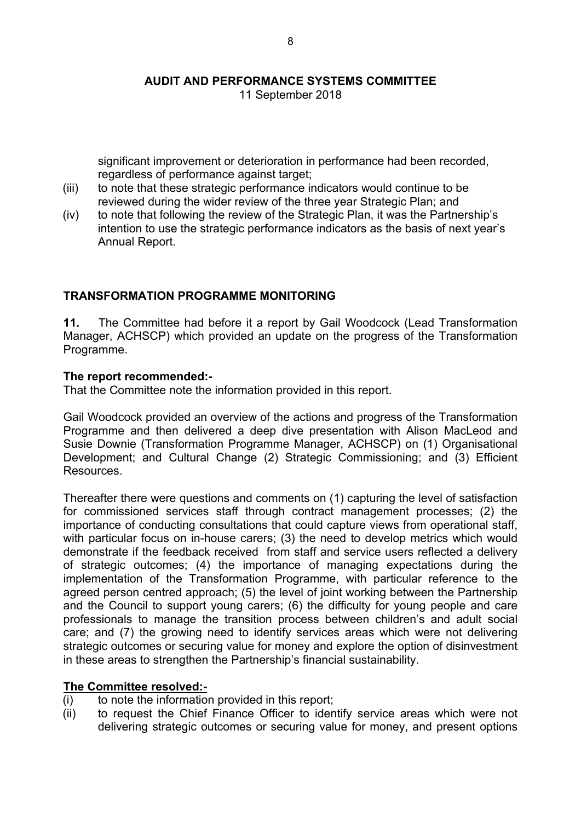significant improvement or deterioration in performance had been recorded, regardless of performance against target;

- (iii) to note that these strategic performance indicators would continue to be reviewed during the wider review of the three year Strategic Plan; and
- (iv) to note that following the review of the Strategic Plan, it was the Partnership's intention to use the strategic performance indicators as the basis of next year's Annual Report.

### **TRANSFORMATION PROGRAMME MONITORING**

**11.** The Committee had before it a report by Gail Woodcock (Lead Transformation Manager, ACHSCP) which provided an update on the progress of the Transformation Programme.

#### **The report recommended:-**

That the Committee note the information provided in this report.

Gail Woodcock provided an overview of the actions and progress of the Transformation Programme and then delivered a deep dive presentation with Alison MacLeod and Susie Downie (Transformation Programme Manager, ACHSCP) on (1) Organisational Development; and Cultural Change (2) Strategic Commissioning; and (3) Efficient Resources.

Thereafter there were questions and comments on (1) capturing the level of satisfaction for commissioned services staff through contract management processes; (2) the importance of conducting consultations that could capture views from operational staff, with particular focus on in-house carers; (3) the need to develop metrics which would demonstrate if the feedback received from staff and service users reflected a delivery of strategic outcomes; (4) the importance of managing expectations during the implementation of the Transformation Programme, with particular reference to the agreed person centred approach; (5) the level of joint working between the Partnership and the Council to support young carers; (6) the difficulty for young people and care professionals to manage the transition process between children's and adult social care; and (7) the growing need to identify services areas which were not delivering strategic outcomes or securing value for money and explore the option of disinvestment in these areas to strengthen the Partnership's financial sustainability.

#### **The Committee resolved:-**

- (i) to note the information provided in this report;
- (ii) to request the Chief Finance Officer to identify service areas which were not delivering strategic outcomes or securing value for money, and present options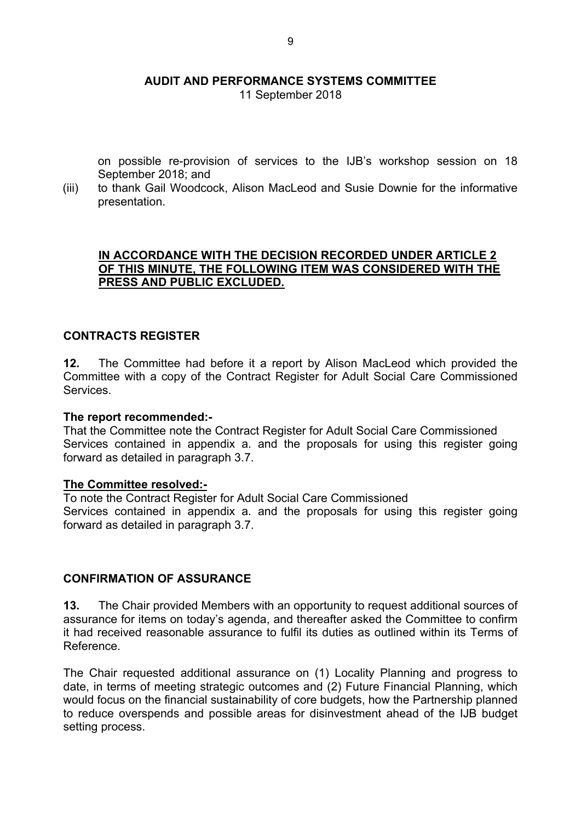11 September 2018

on possible re-provision of services to the IJB's workshop session on 18 September 2018; and

(iii) to thank Gail Woodcock, Alison MacLeod and Susie Downie for the informative presentation.

#### **IN ACCORDANCE WITH THE DECISION RECORDED UNDER ARTICLE 2 OF THIS MINUTE, THE FOLLOWING ITEM WAS CONSIDERED WITH THE PRESS AND PUBLIC EXCLUDED.**

### **CONTRACTS REGISTER**

**12.** The Committee had before it a report by Alison MacLeod which provided the Committee with a copy of the Contract Register for Adult Social Care Commissioned Services.

#### **The report recommended:-**

That the Committee note the Contract Register for Adult Social Care Commissioned Services contained in appendix a. and the proposals for using this register going forward as detailed in paragraph 3.7.

#### **The Committee resolved:-**

To note the Contract Register for Adult Social Care Commissioned Services contained in appendix a. and the proposals for using this register going forward as detailed in paragraph 3.7.

#### **CONFIRMATION OF ASSURANCE**

**13.** The Chair provided Members with an opportunity to request additional sources of assurance for items on today's agenda, and thereafter asked the Committee to confirm it had received reasonable assurance to fulfil its duties as outlined within its Terms of Reference.

The Chair requested additional assurance on (1) Locality Planning and progress to date, in terms of meeting strategic outcomes and (2) Future Financial Planning, which would focus on the financial sustainability of core budgets, how the Partnership planned to reduce overspends and possible areas for disinvestment ahead of the IJB budget setting process.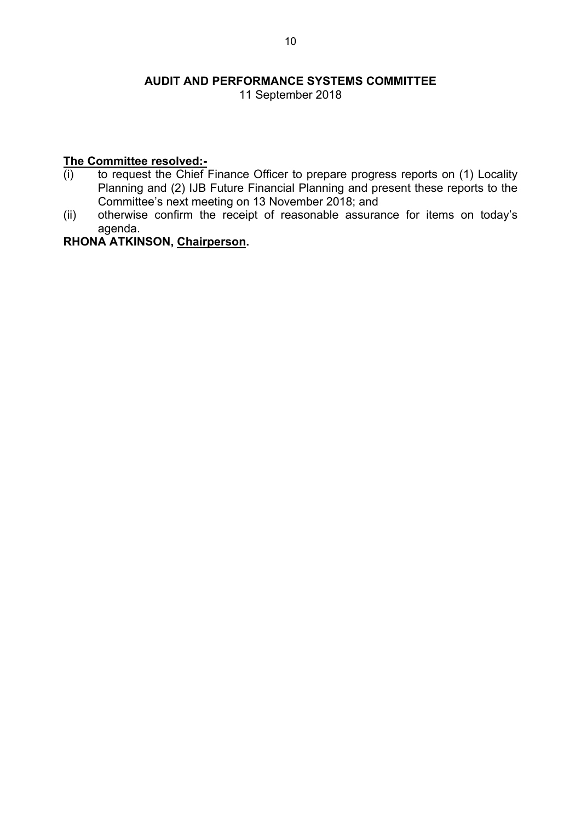11 September 2018

## **The Committee resolved:-**

- (i) to request the Chief Finance Officer to prepare progress reports on (1) Locality Planning and (2) IJB Future Financial Planning and present these reports to the Committee's next meeting on 13 November 2018; and
- (ii) otherwise confirm the receipt of reasonable assurance for items on today's agenda.

# **RHONA ATKINSON, Chairperson.**